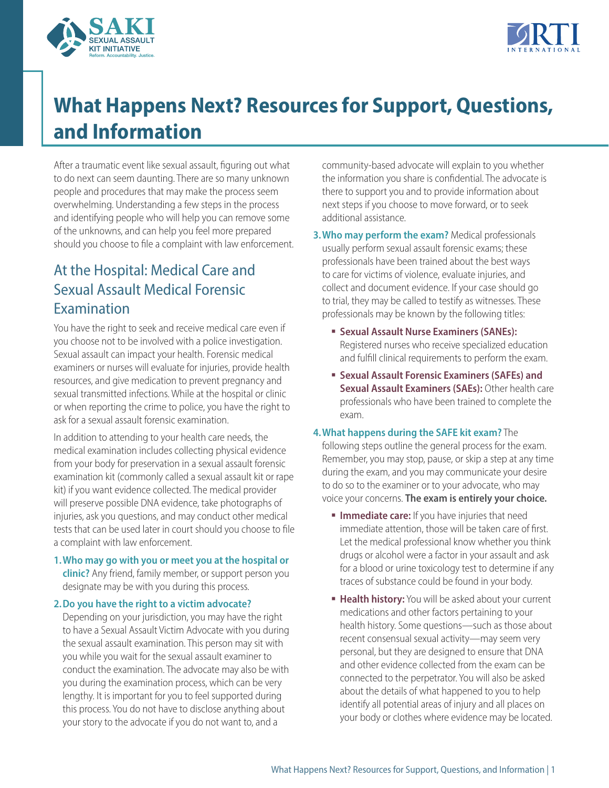



# **What Happens Next? Resources for Support, Questions, and Information**

After a traumatic event like sexual assault, figuring out what to do next can seem daunting. There are so many unknown people and procedures that may make the process seem overwhelming. Understanding a few steps in the process and identifying people who will help you can remove some of the unknowns, and can help you feel more prepared should you choose to file a complaint with law enforcement.

# At the Hospital: Medical Care and Sexual Assault Medical Forensic Examination

You have the right to seek and receive medical care even if you choose not to be involved with a police investigation. Sexual assault can impact your health. Forensic medical examiners or nurses will evaluate for injuries, provide health resources, and give medication to prevent pregnancy and sexual transmitted infections. While at the hospital or clinic or when reporting the crime to police, you have the right to ask for a sexual assault forensic examination.

In addition to attending to your health care needs, the medical examination includes collecting physical evidence from your body for preservation in a sexual assault forensic examination kit (commonly called a sexual assault kit or rape kit) if you want evidence collected. The medical provider will preserve possible DNA evidence, take photographs of injuries, ask you questions, and may conduct other medical tests that can be used later in court should you choose to file a complaint with law enforcement.

**1.Who may go with you or meet you at the hospital or clinic?** Any friend, family member, or support person you designate may be with you during this process.

#### **2.Do you have the right to a victim advocate?**

Depending on your jurisdiction, you may have the right to have a Sexual Assault Victim Advocate with you during the sexual assault examination. This person may sit with you while you wait for the sexual assault examiner to conduct the examination. The advocate may also be with you during the examination process, which can be very lengthy. It is important for you to feel supported during this process. You do not have to disclose anything about your story to the advocate if you do not want to, and a

community-based advocate will explain to you whether the information you share is confidential. The advocate is there to support you and to provide information about next steps if you choose to move forward, or to seek additional assistance.

- **3.Who may perform the exam?** Medical professionals usually perform sexual assault forensic exams; these professionals have been trained about the best ways to care for victims of violence, evaluate injuries, and collect and document evidence. If your case should go to trial, they may be called to testify as witnesses. These professionals may be known by the following titles:
	- **Sexual Assault Nurse Examiners (SANEs):** Registered nurses who receive specialized education and fulfill clinical requirements to perform the exam.
	- **Sexual Assault Forensic Examiners (SAFEs) and Sexual Assault Examiners (SAEs):** Other health care professionals who have been trained to complete the exam.

#### **4.What happens during the SAFE kit exam?** The

following steps outline the general process for the exam. Remember, you may stop, pause, or skip a step at any time during the exam, and you may communicate your desire to do so to the examiner or to your advocate, who may voice your concerns. **The exam is entirely your choice.**

- **Immediate care:** If you have injuries that need immediate attention, those will be taken care of first. Let the medical professional know whether you think drugs or alcohol were a factor in your assault and ask for a blood or urine toxicology test to determine if any traces of substance could be found in your body.
- **Health history:** You will be asked about your current medications and other factors pertaining to your health history. Some questions—such as those about recent consensual sexual activity—may seem very personal, but they are designed to ensure that DNA and other evidence collected from the exam can be connected to the perpetrator. You will also be asked about the details of what happened to you to help identify all potential areas of injury and all places on your body or clothes where evidence may be located.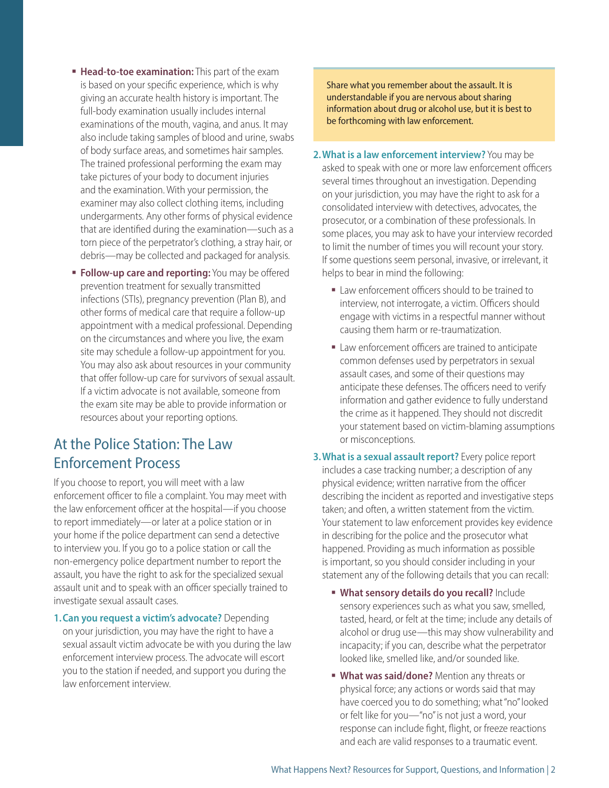- **Head-to-toe examination:** This part of the exam is based on your specific experience, which is why giving an accurate health history is important. The full-body examination usually includes internal examinations of the mouth, vagina, and anus. It may also include taking samples of blood and urine, swabs of body surface areas, and sometimes hair samples. The trained professional performing the exam may take pictures of your body to document injuries and the examination. With your permission, the examiner may also collect clothing items, including undergarments. Any other forms of physical evidence that are identified during the examination—such as a torn piece of the perpetrator's clothing, a stray hair, or debris—may be collected and packaged for analysis.
- **Follow-up care and reporting:** You may be offered prevention treatment for sexually transmitted infections (STIs), pregnancy prevention (Plan B), and other forms of medical care that require a follow-up appointment with a medical professional. Depending on the circumstances and where you live, the exam site may schedule a follow-up appointment for you. You may also ask about resources in your community that offer follow-up care for survivors of sexual assault. If a victim advocate is not available, someone from the exam site may be able to provide information or resources about your reporting options.

## At the Police Station: The Law Enforcement Process

If you choose to report, you will meet with a law enforcement officer to file a complaint. You may meet with the law enforcement officer at the hospital—if you choose to report immediately—or later at a police station or in your home if the police department can send a detective to interview you. If you go to a police station or call the non-emergency police department number to report the assault, you have the right to ask for the specialized sexual assault unit and to speak with an officer specially trained to investigate sexual assault cases.

**1.Can you request a victim's advocate?** Depending on your jurisdiction, you may have the right to have a sexual assault victim advocate be with you during the law enforcement interview process. The advocate will escort you to the station if needed, and support you during the law enforcement interview.

Share what you remember about the assault. It is understandable if you are nervous about sharing information about drug or alcohol use, but it is best to be forthcoming with law enforcement.

- **2.What is a law enforcement interview?** You may be asked to speak with one or more law enforcement officers several times throughout an investigation. Depending on your jurisdiction, you may have the right to ask for a consolidated interview with detectives, advocates, the prosecutor, or a combination of these professionals. In some places, you may ask to have your interview recorded to limit the number of times you will recount your story. If some questions seem personal, invasive, or irrelevant, it helps to bear in mind the following:
	- **Law enforcement officers should to be trained to** interview, not interrogate, a victim. Officers should engage with victims in a respectful manner without causing them harm or re-traumatization.
	- Law enforcement officers are trained to anticipate common defenses used by perpetrators in sexual assault cases, and some of their questions may anticipate these defenses. The officers need to verify information and gather evidence to fully understand the crime as it happened. They should not discredit your statement based on victim-blaming assumptions or misconceptions.
- **3.What is a sexual assault report?** Every police report includes a case tracking number; a description of any physical evidence; written narrative from the officer describing the incident as reported and investigative steps taken; and often, a written statement from the victim. Your statement to law enforcement provides key evidence in describing for the police and the prosecutor what happened. Providing as much information as possible is important, so you should consider including in your statement any of the following details that you can recall:
	- **What sensory details do you recall?** Include sensory experiences such as what you saw, smelled, tasted, heard, or felt at the time; include any details of alcohol or drug use—this may show vulnerability and incapacity; if you can, describe what the perpetrator looked like, smelled like, and/or sounded like.
	- **What was said/done?** Mention any threats or physical force; any actions or words said that may have coerced you to do something; what "no" looked or felt like for you—"no" is not just a word, your response can include fight, flight, or freeze reactions and each are valid responses to a traumatic event.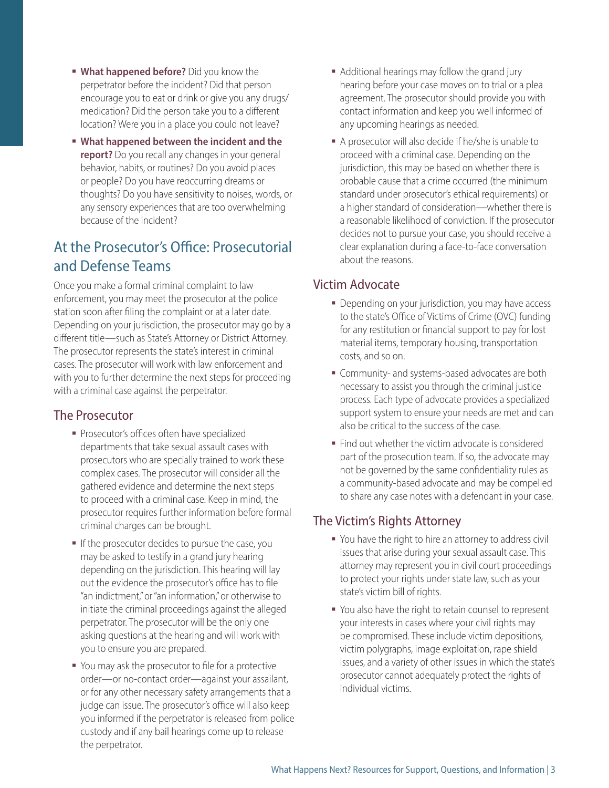- **What happened before?** Did you know the perpetrator before the incident? Did that person encourage you to eat or drink or give you any drugs/ medication? Did the person take you to a different location? Were you in a place you could not leave?
- **What happened between the incident and the report?** Do you recall any changes in your general behavior, habits, or routines? Do you avoid places or people? Do you have reoccurring dreams or thoughts? Do you have sensitivity to noises, words, or any sensory experiences that are too overwhelming because of the incident?

# At the Prosecutor's Office: Prosecutorial and Defense Teams

Once you make a formal criminal complaint to law enforcement, you may meet the prosecutor at the police station soon after filing the complaint or at a later date. Depending on your jurisdiction, the prosecutor may go by a different title—such as State's Attorney or District Attorney. The prosecutor represents the state's interest in criminal cases. The prosecutor will work with law enforcement and with you to further determine the next steps for proceeding with a criminal case against the perpetrator.

### The Prosecutor

- **Prosecutor's offices often have specialized** departments that take sexual assault cases with prosecutors who are specially trained to work these complex cases. The prosecutor will consider all the gathered evidence and determine the next steps to proceed with a criminal case. Keep in mind, the prosecutor requires further information before formal criminal charges can be brought.
- If the prosecutor decides to pursue the case, you may be asked to testify in a grand jury hearing depending on the jurisdiction. This hearing will lay out the evidence the prosecutor's office has to file "an indictment," or "an information," or otherwise to initiate the criminal proceedings against the alleged perpetrator. The prosecutor will be the only one asking questions at the hearing and will work with you to ensure you are prepared.
- You may ask the prosecutor to file for a protective order—or no-contact order—against your assailant, or for any other necessary safety arrangements that a judge can issue. The prosecutor's office will also keep you informed if the perpetrator is released from police custody and if any bail hearings come up to release the perpetrator.
- Additional hearings may follow the grand jury hearing before your case moves on to trial or a plea agreement. The prosecutor should provide you with contact information and keep you well informed of any upcoming hearings as needed.
- A prosecutor will also decide if he/she is unable to proceed with a criminal case. Depending on the jurisdiction, this may be based on whether there is probable cause that a crime occurred (the minimum standard under prosecutor's ethical requirements) or a higher standard of consideration—whether there is a reasonable likelihood of conviction. If the prosecutor decides not to pursue your case, you should receive a clear explanation during a face-to-face conversation about the reasons.

### Victim Advocate

- **Depending on your jurisdiction, you may have access** to the state's Office of Victims of Crime (OVC) funding for any restitution or financial support to pay for lost material items, temporary housing, transportation costs, and so on.
- **Community- and systems-based advocates are both** necessary to assist you through the criminal justice process. Each type of advocate provides a specialized support system to ensure your needs are met and can also be critical to the success of the case.
- Find out whether the victim advocate is considered part of the prosecution team. If so, the advocate may not be governed by the same confidentiality rules as a community-based advocate and may be compelled to share any case notes with a defendant in your case.

### The Victim's Rights Attorney

- You have the right to hire an attorney to address civil issues that arise during your sexual assault case. This attorney may represent you in civil court proceedings to protect your rights under state law, such as your state's victim bill of rights.
- You also have the right to retain counsel to represent your interests in cases where your civil rights may be compromised. These include victim depositions, victim polygraphs, image exploitation, rape shield issues, and a variety of other issues in which the state's prosecutor cannot adequately protect the rights of individual victims.